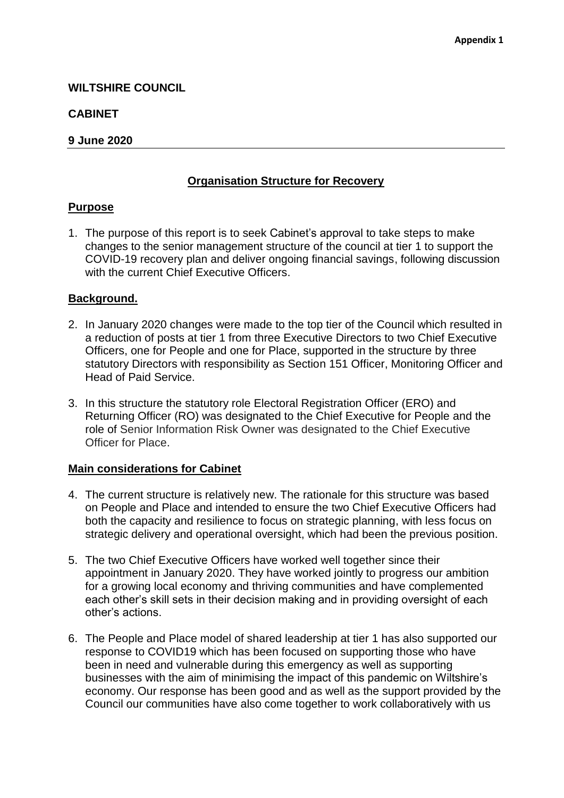## **WILTSHIRE COUNCIL**

## **CABINET**

### **9 June 2020**

# **Organisation Structure for Recovery**

#### **Purpose**

1. The purpose of this report is to seek Cabinet's approval to take steps to make changes to the senior management structure of the council at tier 1 to support the COVID-19 recovery plan and deliver ongoing financial savings, following discussion with the current Chief Executive Officers.

## **Background.**

- 2. In January 2020 changes were made to the top tier of the Council which resulted in a reduction of posts at tier 1 from three Executive Directors to two Chief Executive Officers, one for People and one for Place, supported in the structure by three statutory Directors with responsibility as Section 151 Officer, Monitoring Officer and Head of Paid Service.
- 3. In this structure the statutory role Electoral Registration Officer (ERO) and Returning Officer (RO) was designated to the Chief Executive for People and the role of Senior Information Risk Owner was designated to the Chief Executive Officer for Place.

#### **Main considerations for Cabinet**

- 4. The current structure is relatively new. The rationale for this structure was based on People and Place and intended to ensure the two Chief Executive Officers had both the capacity and resilience to focus on strategic planning, with less focus on strategic delivery and operational oversight, which had been the previous position.
- 5. The two Chief Executive Officers have worked well together since their appointment in January 2020. They have worked jointly to progress our ambition for a growing local economy and thriving communities and have complemented each other's skill sets in their decision making and in providing oversight of each other's actions.
- 6. The People and Place model of shared leadership at tier 1 has also supported our response to COVID19 which has been focused on supporting those who have been in need and vulnerable during this emergency as well as supporting businesses with the aim of minimising the impact of this pandemic on Wiltshire's economy. Our response has been good and as well as the support provided by the Council our communities have also come together to work collaboratively with us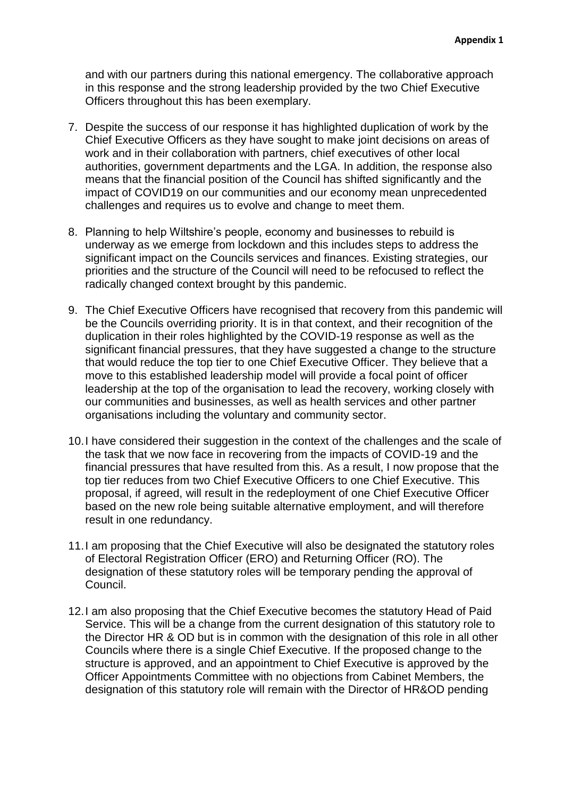and with our partners during this national emergency. The collaborative approach in this response and the strong leadership provided by the two Chief Executive Officers throughout this has been exemplary.

- 7. Despite the success of our response it has highlighted duplication of work by the Chief Executive Officers as they have sought to make joint decisions on areas of work and in their collaboration with partners, chief executives of other local authorities, government departments and the LGA. In addition, the response also means that the financial position of the Council has shifted significantly and the impact of COVID19 on our communities and our economy mean unprecedented challenges and requires us to evolve and change to meet them.
- 8. Planning to help Wiltshire's people, economy and businesses to rebuild is underway as we emerge from lockdown and this includes steps to address the significant impact on the Councils services and finances. Existing strategies, our priorities and the structure of the Council will need to be refocused to reflect the radically changed context brought by this pandemic.
- 9. The Chief Executive Officers have recognised that recovery from this pandemic will be the Councils overriding priority. It is in that context, and their recognition of the duplication in their roles highlighted by the COVID-19 response as well as the significant financial pressures, that they have suggested a change to the structure that would reduce the top tier to one Chief Executive Officer. They believe that a move to this established leadership model will provide a focal point of officer leadership at the top of the organisation to lead the recovery, working closely with our communities and businesses, as well as health services and other partner organisations including the voluntary and community sector.
- 10. I have considered their suggestion in the context of the challenges and the scale of the task that we now face in recovering from the impacts of COVID-19 and the financial pressures that have resulted from this. As a result, I now propose that the top tier reduces from two Chief Executive Officers to one Chief Executive. This proposal, if agreed, will result in the redeployment of one Chief Executive Officer based on the new role being suitable alternative employment, and will therefore result in one redundancy.
- 11.I am proposing that the Chief Executive will also be designated the statutory roles of Electoral Registration Officer (ERO) and Returning Officer (RO). The designation of these statutory roles will be temporary pending the approval of Council.
- 12.I am also proposing that the Chief Executive becomes the statutory Head of Paid Service. This will be a change from the current designation of this statutory role to the Director HR & OD but is in common with the designation of this role in all other Councils where there is a single Chief Executive. If the proposed change to the structure is approved, and an appointment to Chief Executive is approved by the Officer Appointments Committee with no objections from Cabinet Members, the designation of this statutory role will remain with the Director of HR&OD pending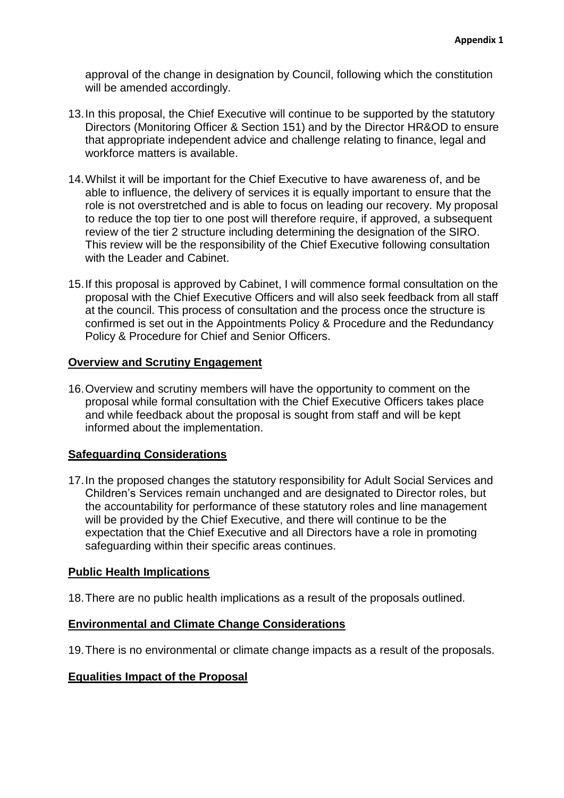approval of the change in designation by Council, following which the constitution will be amended accordingly.

- 13.In this proposal, the Chief Executive will continue to be supported by the statutory Directors (Monitoring Officer & Section 151) and by the Director HR&OD to ensure that appropriate independent advice and challenge relating to finance, legal and workforce matters is available.
- 14.Whilst it will be important for the Chief Executive to have awareness of, and be able to influence, the delivery of services it is equally important to ensure that the role is not overstretched and is able to focus on leading our recovery. My proposal to reduce the top tier to one post will therefore require, if approved, a subsequent review of the tier 2 structure including determining the designation of the SIRO. This review will be the responsibility of the Chief Executive following consultation with the Leader and Cabinet.
- 15.If this proposal is approved by Cabinet, I will commence formal consultation on the proposal with the Chief Executive Officers and will also seek feedback from all staff at the council. This process of consultation and the process once the structure is confirmed is set out in the Appointments Policy & Procedure and the Redundancy Policy & Procedure for Chief and Senior Officers.

#### **Overview and Scrutiny Engagement**

16.Overview and scrutiny members will have the opportunity to comment on the proposal while formal consultation with the Chief Executive Officers takes place and while feedback about the proposal is sought from staff and will be kept informed about the implementation.

#### **Safeguarding Considerations**

17.In the proposed changes the statutory responsibility for Adult Social Services and Children's Services remain unchanged and are designated to Director roles, but the accountability for performance of these statutory roles and line management will be provided by the Chief Executive, and there will continue to be the expectation that the Chief Executive and all Directors have a role in promoting safeguarding within their specific areas continues.

#### **Public Health Implications**

18.There are no public health implications as a result of the proposals outlined.

#### **Environmental and Climate Change Considerations**

19.There is no environmental or climate change impacts as a result of the proposals.

#### **Equalities Impact of the Proposal**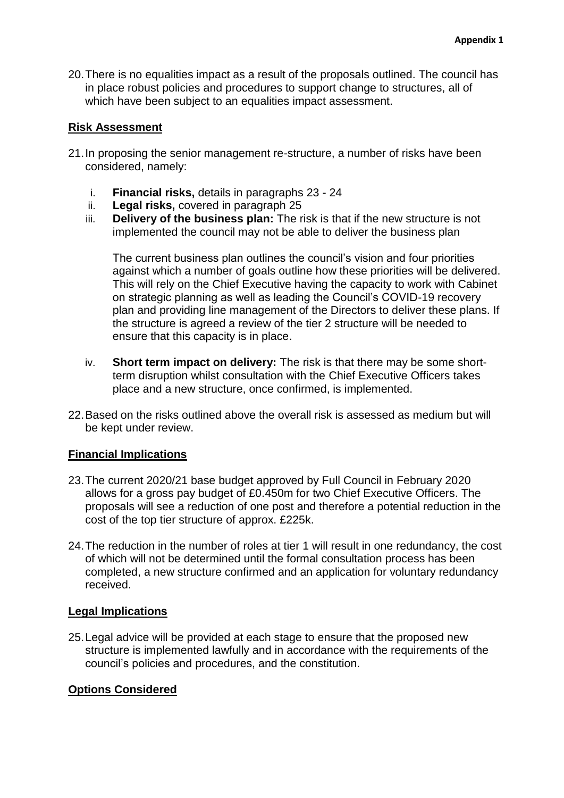20.There is no equalities impact as a result of the proposals outlined. The council has in place robust policies and procedures to support change to structures, all of which have been subject to an equalities impact assessment.

## **Risk Assessment**

- 21.In proposing the senior management re-structure, a number of risks have been considered, namely:
	- i. **Financial risks,** details in paragraphs 23 24
	- ii. **Legal risks,** covered in paragraph 25
	- iii. **Delivery of the business plan:** The risk is that if the new structure is not implemented the council may not be able to deliver the business plan

The current business plan outlines the council's vision and four priorities against which a number of goals outline how these priorities will be delivered. This will rely on the Chief Executive having the capacity to work with Cabinet on strategic planning as well as leading the Council's COVID-19 recovery plan and providing line management of the Directors to deliver these plans. If the structure is agreed a review of the tier 2 structure will be needed to ensure that this capacity is in place.

- iv. **Short term impact on delivery:** The risk is that there may be some shortterm disruption whilst consultation with the Chief Executive Officers takes place and a new structure, once confirmed, is implemented.
- 22.Based on the risks outlined above the overall risk is assessed as medium but will be kept under review.

#### **Financial Implications**

- 23.The current 2020/21 base budget approved by Full Council in February 2020 allows for a gross pay budget of £0.450m for two Chief Executive Officers. The proposals will see a reduction of one post and therefore a potential reduction in the cost of the top tier structure of approx. £225k.
- 24.The reduction in the number of roles at tier 1 will result in one redundancy, the cost of which will not be determined until the formal consultation process has been completed, a new structure confirmed and an application for voluntary redundancy received.

#### **Legal Implications**

25.Legal advice will be provided at each stage to ensure that the proposed new structure is implemented lawfully and in accordance with the requirements of the council's policies and procedures, and the constitution.

#### **Options Considered**